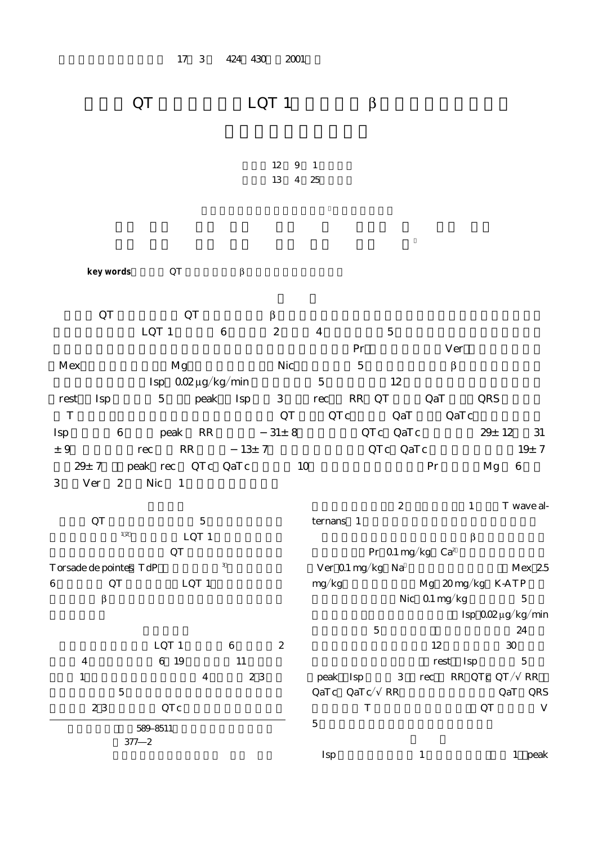## $\overline{QT}$  LQT 1  $\beta$

12 9 1 13 4 25

**key words**: QT β

 $\overline{Q}T$   $\overline{Q}T$   $\beta$  $LQT 1 \qquad 6 \qquad 2 \qquad 4 \qquad 5$  $\Pr$  Ver  $Mex$  Mg Nic 5 β  $\text{Isp} \quad \text{QO2}\mu\text{g/kg/min} \qquad \qquad 5 \qquad \qquad 12$ (rest),Isp 点滴静注 5 分後(peak),Isp 終了 3 分後(rec)の RR,QT 時間,QaT 時間(QRS 開始点か T GILL STREET ASSESSED TO THE GRAPING OF THE GRAPING GRAPING GRAPING OF THE GRAPING GRAPING GRAPING STREET AND GRAPING STREET AND THE GRAPING STREET AND THE GRAPING STREET AND THE GRAPING STREET AND THE GRAPING STREET AND  $\rm Isp$  6 peak  $\rm RR$   $\rm 31\pm 8$   $\rm QTC$   $\rm QaTc$   $\rm 29\pm 12$   $\rm 31$  $\pm 9$  rec RR  $13\pm 7$  QTc, QaTc  $19\pm 7$  $x \leftrightarrow 9$ <br> $x \leftrightarrow 7$  peak rec QTc QaTc  $x \leftrightarrow 12$  QTc QaTc  $x \leftrightarrow 12$  3<br> $x \leftrightarrow 12$  3<br> $y \leftrightarrow 7$  QTc QaTc  $19 \pm 7$ <br>Pr Mg 6 3 Ver 2 Nic 1

QT  $\frac{5}{12}$   $\frac{5}{\sqrt{2}}$  $12$  LQT 1  $\rm QT$ Torsade de pointes $TdP$  and  $3$ 6  $\qquad$  QT  $\qquad$  LQT 1  $\beta$ 

 $LQT 1$  6  $2$ 4 6 19 11  $1$  4 23  $5$ 23 QTc

> 589 8511 東 377―2

 $2 \t 1 \t T$  wave alternans 1  $\beta$  $\Pr$  0.1 mg/kg  $Ca^2$ (Ver)0.1 mgkg,Na 遮断薬のメキシレチン(Mex)2.5 mg/kg $\_$ Mg $\_20 \, \text{mg/kg}$ K-ATP Nic  $0.1$  mg/kg 5 Isp $0.02 \mu g/kg/min$  $5$  24  $12$  30 test Isp 5 peak Isp  $3 \text{ rec}$  RR, QTc, QT / RR QaTc<sup>(</sup>QaTc<sup>/</sup>RR) QaT:QRS T QT V  $5$ 

 $I$   $I$   $I$   $peak$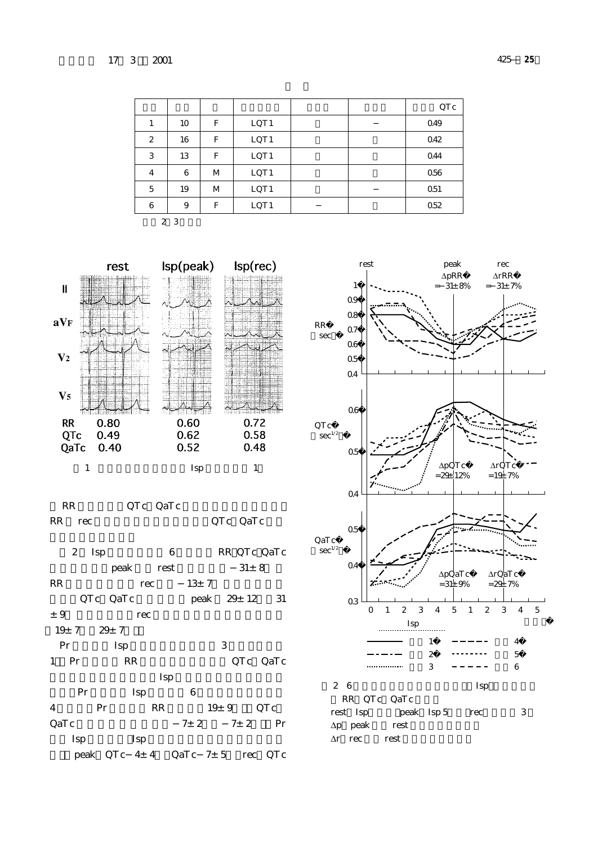|              |    |   |                  |  | QTc  |
|--------------|----|---|------------------|--|------|
| 1            | 10 | F | LQT <sub>1</sub> |  | 049  |
| $\mathbf{z}$ | 16 | F | LQT1             |  | 042  |
| 3            | 13 | F | LQT1             |  | 044  |
| 4            | 6  | M | LQT <sub>1</sub> |  | 056  |
| 5            | 19 | M | LQT1             |  | 0.51 |
| 6            | 9  | F | LQT1             |  | 052  |

2 3



RR QTc QaTc RR rec  $\qquad \qquad \mathsf{QTc}$   $\qquad \mathsf{QaTc}$ 

2 Isp 6 RR, QTc, QaTc  $peak \t\t rest \t\t 31±8$ RR  $rec$   $13±7$  $QTc$   $QaTc$   $peak$   $29±12$  31  $±9$  rec  $19 \pm 7$   $29 \pm 7$ Pr Isp  $3$ 1 Pr RR QTc QaTc  $Isp$ Pr Isp 6  $4$  Pr RR  $19 \pm 9$  QTc QaTc  $7 \pm 2$   $7 \pm 2$  Pr

Isp Isp peak: QTc 4± 4 QaTc 7± 5 rec: QTc

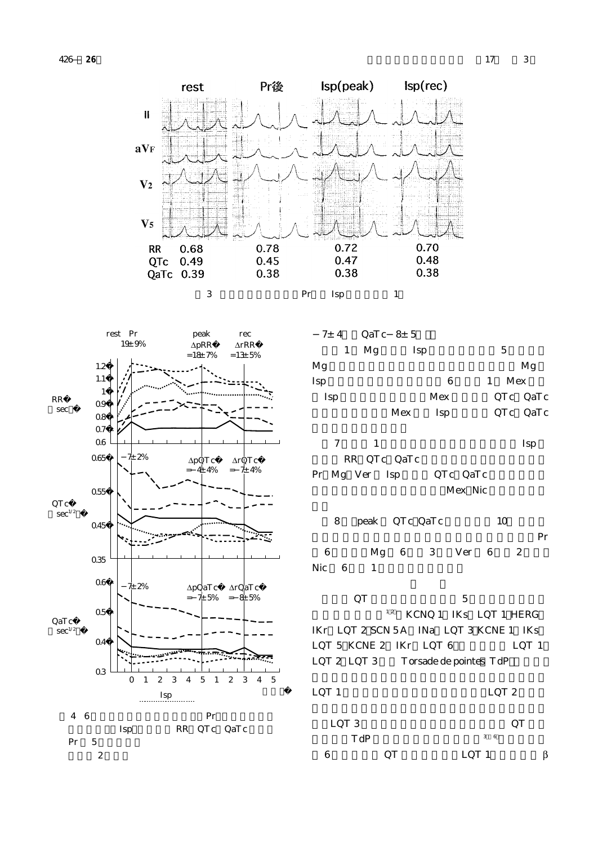



3 Pr Isp 1



| $7\pm$ 4 | QaTc $8 \pm 5$ |     |     |   |     |          |
|----------|----------------|-----|-----|---|-----|----------|
| 1        | Mg             |     | Isp |   | 5   |          |
| Mg       |                |     |     |   |     | Mg       |
| Isp      |                |     | 6   | 1 | Mex |          |
| Isp      |                |     | Mex |   |     | QTc QaTc |
|          |                | Mex | Isp |   |     | QTc QaTc |

 $7 \t 1$  Isp RR QTc QaTc Pr Mg Ver Isp QTc QaTc Mex Nic

8 peak QTc QaTc 10 有効とした場合の各抗不整脈薬の有効率を示す.Pr 6 Mg 6 3 Ver 6 2 Nic 6 1

## $\rm QT$  5  $\rm 5$  $12$  KCNQ 1 IKs LQT 1 HERG IKr: LQT 2, SCN 5A INa LQT 3, KCNE 1 IKs  $LQT 5 KCNE 2 IKr LQT 6 \t LQT 1$ LQT  $2$  LQT  $3$  Torsade de pointes  $TdP$

LQT 1  $LQT 2$ 

| LQT 3 |     | QI    |   |  |
|-------|-----|-------|---|--|
|       | TdP | 36    |   |  |
| 6     | QТ  | LQT 1 | β |  |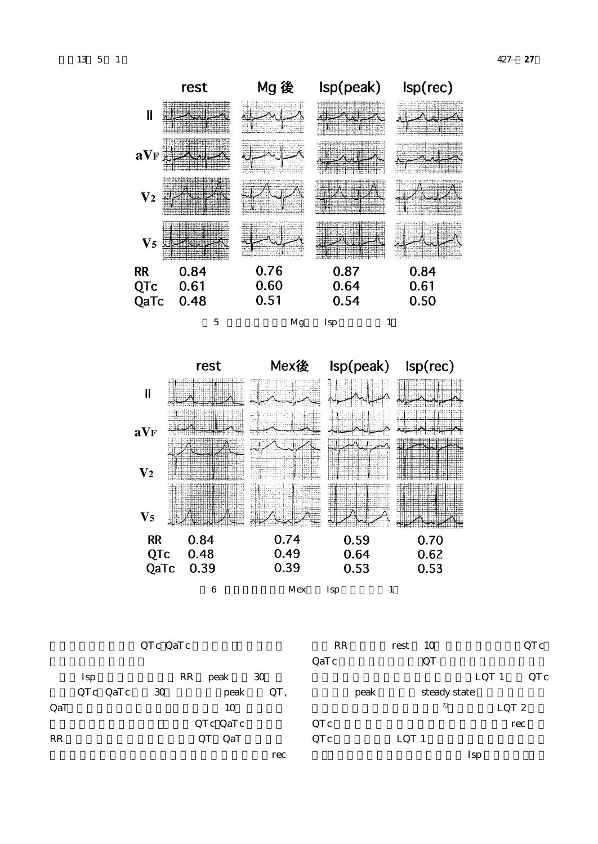



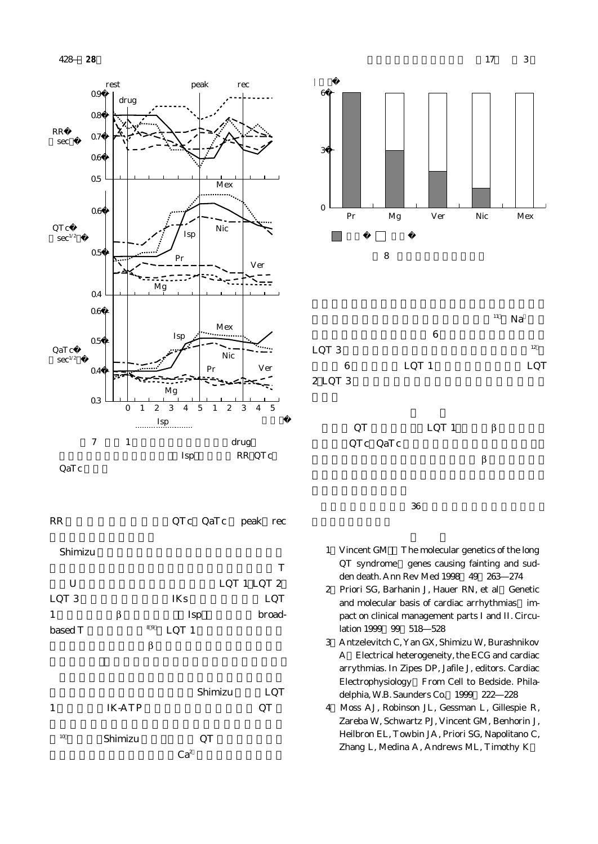



| LQT <sub>3</sub> |    | IKs              | LQT    |
|------------------|----|------------------|--------|
|                  |    | Isp              | broad- |
| based T          | 89 | LQT <sub>1</sub> |        |
|                  |    |                  |        |
|                  |    |                  |        |

|    |         | Shimizu         | LQT |
|----|---------|-----------------|-----|
| 1  | IK-ATP  |                 | QT  |
| 10 | Shimizu | QT              |     |
|    |         | Ca <sup>2</sup> |     |







- $36$
- 1)Vincent GM.:The molecular genetics of the long QT syndrome genes causing fainting and sudden death. Ann Rev Med 1998;49:263―274
- 2) Priori SG, Barhanin J, Hauer RN, et al Genetic and molecular basis of cardiac arrhythmias impact on clinical management parts I and II. Circulation 1999 99 518 528
- 3)Antzelevitch C, Yan GX, Shimizu W, Burashnikov A:Electrical heterogeneity, the ECG and cardiac arrythmias. In Zipes DP, Jafile J, editors. Cardiac Electrophysiology:From Cell to Bedside. Philadelphia, W.B. Saunders Co. 1999 222 228
- 4)Moss AJ, Robinson JL, Gessman L, Gillespie R, Zareba W, Schwartz PJ, Vincent GM, Benhorin J, Heilbron EL, Towbin JA, Priori SG, Napolitano C, Zhang L, Medina A, Andrews ML, Timothy K:

**428 28** 17 3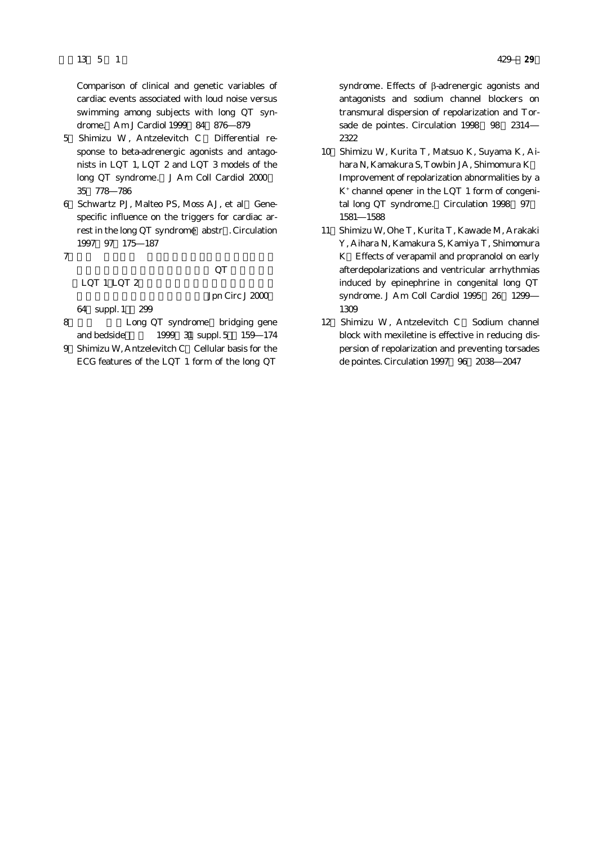Comparison of clinical and genetic variables of cardiac events associated with loud noise versus swimming among subjects with long QT syndrome. Am J Cardiol 1999 84: 876: 879

- 5 Shimizu W. Antzelevitch C Differential response to beta-adrenergic agonists and antagonists in LQT 1, LQT 2 and LQT 3 models of the long QT syndrome. J Am Coll Cardiol 2000 35:778―786
- 6) Schwartz PJ, Malteo PS, Moss AJ, et al Genespecific influence on the triggers for cardiac arrest in the long QT syndrome abstr . Circulation 1997;97:175―187
- $7$

 $\rm QT$ 

 $LQT$  1,  $LQT$  2

Jpn Circ J 2000

64 suppl. 1 299

- 8 Long QT syndrome bridging gene and bedside 1999 31 suppl. 5 159 174
- 9 Shimizu W, Antzelevitch C Cellular basis for the ECG features of the LQT 1 form of the long QT

syndrome. Effects of β-adrenergic agonists and antagonists and sodium channel blockers on transmural dispersion of repolarization and Torsade de pointes. Circulation 1998 98 2314 2322

- 10)Shimizu W, Kurita T, Matsuo K, Suyama K, Aihara N, Kamakura S, Towbin JA, Shimomura K: Improvement of repolarization abnormalities by a K+ channel opener in the LQT 1 form of congenital long QT syndrome. Circulation 1998 97 1581―1588
- 11)Shimizu W, Ohe T, Kurita T, Kawade M, Arakaki Y, Aihara N, Kamakura S, Kamiya T, Shimomura K:Effects of verapamil and propranolol on early afterdepolarizations and ventricular arrhythmias induced by epinephrine in congenital long QT syndrome. J Am Coll Cardiol 1995 26 1299 1309
- 12 Shimizu W, Antzelevitch C Sodium channel block with mexiletine is effective in reducing dispersion of repolarization and preventing torsades de pointes. Circulation 1997;96:2038―2047